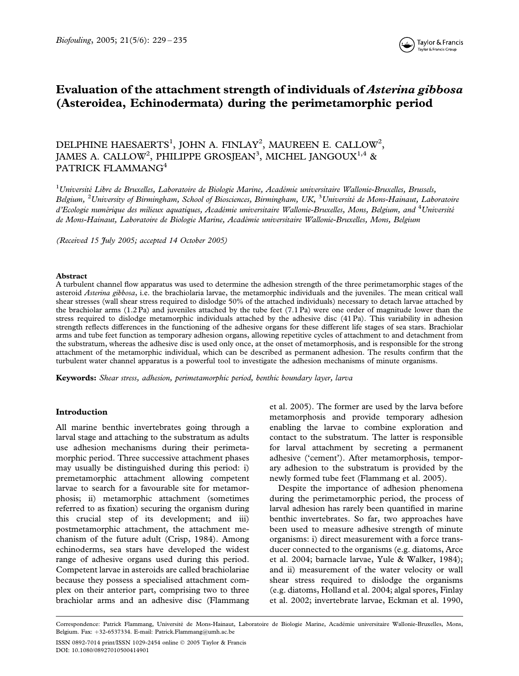

# Evaluation of the attachment strength of individuals of Asterina gibbosa (Asteroidea, Echinodermata) during the perimetamorphic period

## DELPHINE HAESAERTS<sup>1</sup>, JOHN A. FINLAY<sup>2</sup>, MAUREEN E. CALLOW<sup>2</sup>, JAMES A. CALLOW $^2$ , PHILIPPE GROSJEAN $^3$ , MICHEL JANGOUX $^{1,4}$  & PATRICK FLAMMANG<sup>4</sup>

<sup>1</sup>Université Libre de Bruxelles, Laboratoire de Biologie Marine, Académie universitaire Wallonie-Bruxelles, Brussels, Belgium, <sup>2</sup>University of Birmingham, School of Biosciences, Birmingham, UK, <sup>3</sup>Université de Mons-Hainaut, Laboratoire d'Ecologie numérique des milieux aquatiques, Académie universitaire Wallonie-Bruxelles, Mons, Belgium, and <sup>4</sup>Université de Mons-Hainaut, Laboratoire de Biologie Marine, Académie universitaire Wallonie-Bruxelles, Mons, Belgium

(Received 15 July 2005; accepted 14 October 2005)

#### Abstract

A turbulent channel flow apparatus was used to determine the adhesion strength of the three perimetamorphic stages of the asteroid Asterina gibbosa, i.e. the brachiolaria larvae, the metamorphic individuals and the juveniles. The mean critical wall shear stresses (wall shear stress required to dislodge 50% of the attached individuals) necessary to detach larvae attached by the brachiolar arms (1.2 Pa) and juveniles attached by the tube feet (7.1 Pa) were one order of magnitude lower than the stress required to dislodge metamorphic individuals attached by the adhesive disc (41 Pa). This variability in adhesion strength reflects differences in the functioning of the adhesive organs for these different life stages of sea stars. Brachiolar arms and tube feet function as temporary adhesion organs, allowing repetitive cycles of attachment to and detachment from the substratum, whereas the adhesive disc is used only once, at the onset of metamorphosis, and is responsible for the strong attachment of the metamorphic individual, which can be described as permanent adhesion. The results confirm that the turbulent water channel apparatus is a powerful tool to investigate the adhesion mechanisms of minute organisms.

Keywords: Shear stress, adhesion, perimetamorphic period, benthic boundary layer, larva

#### Introduction

All marine benthic invertebrates going through a larval stage and attaching to the substratum as adults use adhesion mechanisms during their perimetamorphic period. Three successive attachment phases may usually be distinguished during this period: i) premetamorphic attachment allowing competent larvae to search for a favourable site for metamorphosis; ii) metamorphic attachment (sometimes referred to as fixation) securing the organism during this crucial step of its development; and iii) postmetamorphic attachment, the attachment mechanism of the future adult (Crisp, 1984). Among echinoderms, sea stars have developed the widest range of adhesive organs used during this period. Competent larvae in asteroids are called brachiolariae because they possess a specialised attachment complex on their anterior part, comprising two to three brachiolar arms and an adhesive disc (Flammang et al. 2005). The former are used by the larva before metamorphosis and provide temporary adhesion enabling the larvae to combine exploration and contact to the substratum. The latter is responsible for larval attachment by secreting a permanent adhesive ('cement'). After metamorphosis, temporary adhesion to the substratum is provided by the newly formed tube feet (Flammang et al. 2005).

Despite the importance of adhesion phenomena during the perimetamorphic period, the process of larval adhesion has rarely been quantified in marine benthic invertebrates. So far, two approaches have been used to measure adhesive strength of minute organisms: i) direct measurement with a force transducer connected to the organisms (e.g. diatoms, Arce et al. 2004; barnacle larvae, Yule & Walker, 1984); and ii) measurement of the water velocity or wall shear stress required to dislodge the organisms (e.g. diatoms, Holland et al. 2004; algal spores, Finlay et al. 2002; invertebrate larvae, Eckman et al. 1990,

Correspondence: Patrick Flammang, Universite´ de Mons-Hainaut, Laboratoire de Biologie Marine, Acade´mie universitaire Wallonie-Bruxelles, Mons, Belgium. Fax: +32-6537334. E-mail: Patrick.Flammang@umh.ac.be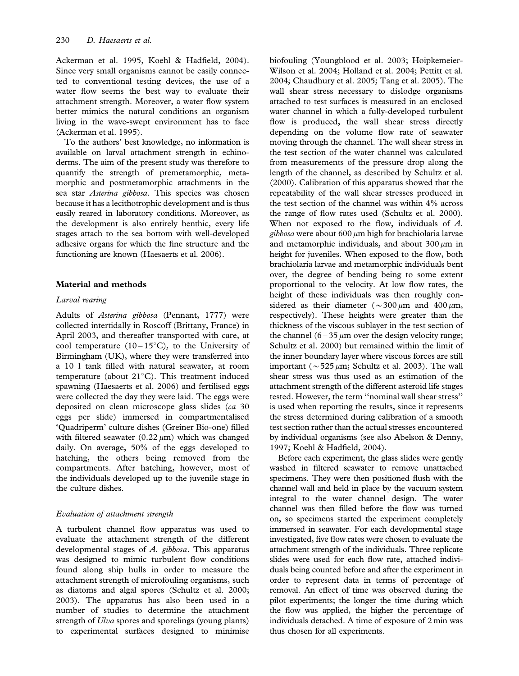Ackerman et al. 1995, Koehl & Hadfield, 2004). Since very small organisms cannot be easily connected to conventional testing devices, the use of a water flow seems the best way to evaluate their attachment strength. Moreover, a water flow system better mimics the natural conditions an organism living in the wave-swept environment has to face (Ackerman et al. 1995).

To the authors' best knowledge, no information is available on larval attachment strength in echinoderms. The aim of the present study was therefore to quantify the strength of premetamorphic, metamorphic and postmetamorphic attachments in the sea star Asterina gibbosa. This species was chosen because it has a lecithotrophic development and is thus easily reared in laboratory conditions. Moreover, as the development is also entirely benthic, every life stages attach to the sea bottom with well-developed adhesive organs for which the fine structure and the functioning are known (Haesaerts et al. 2006).

## Material and methods

## Larval rearing

Adults of Asterina gibbosa (Pennant, 1777) were collected intertidally in Roscoff (Brittany, France) in April 2003, and thereafter transported with care, at cool temperature  $(10-15^{\circ}C)$ , to the University of Birmingham (UK), where they were transferred into a 10 l tank filled with natural seawater, at room temperature (about  $21^{\circ}$ C). This treatment induced spawning (Haesaerts et al. 2006) and fertilised eggs were collected the day they were laid. The eggs were deposited on clean microscope glass slides (ca 30 eggs per slide) immersed in compartmentalised 'Quadriperm' culture dishes (Greiner Bio-one) filled with filtered seawater  $(0.22 \mu m)$  which was changed daily. On average, 50% of the eggs developed to hatching, the others being removed from the compartments. After hatching, however, most of the individuals developed up to the juvenile stage in the culture dishes.

## Evaluation of attachment strength

A turbulent channel flow apparatus was used to evaluate the attachment strength of the different developmental stages of  $A$ . gibbosa. This apparatus was designed to mimic turbulent flow conditions found along ship hulls in order to measure the attachment strength of microfouling organisms, such as diatoms and algal spores (Schultz et al. 2000; 2003). The apparatus has also been used in a number of studies to determine the attachment strength of *Ulva* spores and sporelings (young plants) to experimental surfaces designed to minimise

biofouling (Youngblood et al. 2003; Hoipkemeier-Wilson et al. 2004; Holland et al. 2004; Pettitt et al. 2004; Chaudhury et al. 2005; Tang et al. 2005). The wall shear stress necessary to dislodge organisms attached to test surfaces is measured in an enclosed water channel in which a fully-developed turbulent flow is produced, the wall shear stress directly depending on the volume flow rate of seawater moving through the channel. The wall shear stress in the test section of the water channel was calculated from measurements of the pressure drop along the length of the channel, as described by Schultz et al. (2000). Calibration of this apparatus showed that the repeatability of the wall shear stresses produced in the test section of the channel was within 4% across the range of flow rates used (Schultz et al. 2000). When not exposed to the flow, individuals of A. gibbosa were about 600  $\mu$ m high for brachiolaria larvae and metamorphic individuals, and about  $300 \mu m$  in height for juveniles. When exposed to the flow, both brachiolaria larvae and metamorphic individuals bent over, the degree of bending being to some extent proportional to the velocity. At low flow rates, the height of these individuals was then roughly considered as their diameter ( $\sim$ 300  $\mu$ m and 400  $\mu$ m, respectively). These heights were greater than the thickness of the viscous sublayer in the test section of the channel  $(6 - 35 \mu m)$  over the design velocity range; Schultz et al. 2000) but remained within the limit of the inner boundary layer where viscous forces are still important ( $\sim$  525  $\mu$ m; Schultz et al. 2003). The wall shear stress was thus used as an estimation of the attachment strength of the different asteroid life stages tested. However, the term ''nominal wall shear stress'' is used when reporting the results, since it represents the stress determined during calibration of a smooth test section rather than the actual stresses encountered by individual organisms (see also Abelson & Denny, 1997; Koehl & Hadfield, 2004).

Before each experiment, the glass slides were gently washed in filtered seawater to remove unattached specimens. They were then positioned flush with the channel wall and held in place by the vacuum system integral to the water channel design. The water channel was then filled before the flow was turned on, so specimens started the experiment completely immersed in seawater. For each developmental stage investigated, five flow rates were chosen to evaluate the attachment strength of the individuals. Three replicate slides were used for each flow rate, attached individuals being counted before and after the experiment in order to represent data in terms of percentage of removal. An effect of time was observed during the pilot experiments; the longer the time during which the flow was applied, the higher the percentage of individuals detached. A time of exposure of 2 min was thus chosen for all experiments.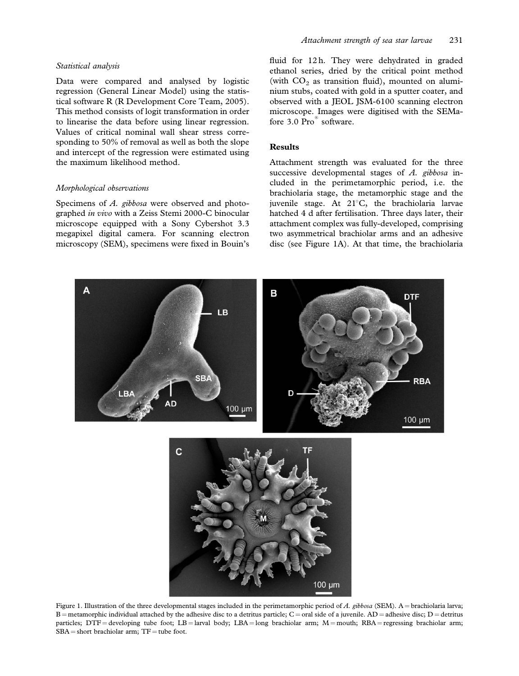#### Statistical analysis

Data were compared and analysed by logistic regression (General Linear Model) using the statistical software R (R Development Core Team, 2005). This method consists of logit transformation in order to linearise the data before using linear regression. Values of critical nominal wall shear stress corresponding to 50% of removal as well as both the slope and intercept of the regression were estimated using the maximum likelihood method.

#### Morphological observations

Specimens of A. gibbosa were observed and photographed in vivo with a Zeiss Stemi 2000-C binocular microscope equipped with a Sony Cybershot 3.3 megapixel digital camera. For scanning electron microscopy (SEM), specimens were fixed in Bouin's

fluid for 12 h. They were dehydrated in graded ethanol series, dried by the critical point method (with  $CO<sub>2</sub>$  as transition fluid), mounted on aluminium stubs, coated with gold in a sputter coater, and observed with a JEOL JSM-6100 scanning electron microscope. Images were digitised with the SEMafore 3.0 Pro<sup>®</sup> software.

#### **Results**

Attachment strength was evaluated for the three successive developmental stages of  $A$ . gibbosa included in the perimetamorphic period, i.e. the brachiolaria stage, the metamorphic stage and the juvenile stage. At  $21^{\circ}$ C, the brachiolaria larvae hatched 4 d after fertilisation. Three days later, their attachment complex was fully-developed, comprising two asymmetrical brachiolar arms and an adhesive disc (see Figure 1A). At that time, the brachiolaria



Figure 1. Illustration of the three developmental stages included in the perimetamorphic period of A. gibbosa (SEM). A = brachiolaria larva; B = metamorphic individual attached by the adhesive disc to a detritus particle; C = oral side of a juvenile. AD = adhesive disc; D = detritus particles;  $DTF =$  developing tube foot;  $LB =$  larval body;  $LBA =$  long brachiolar arm;  $M =$  mouth;  $RBA =$  regressing brachiolar arm;  $SBA = short brachiolar arm$ ;  $TF = tube foot$ .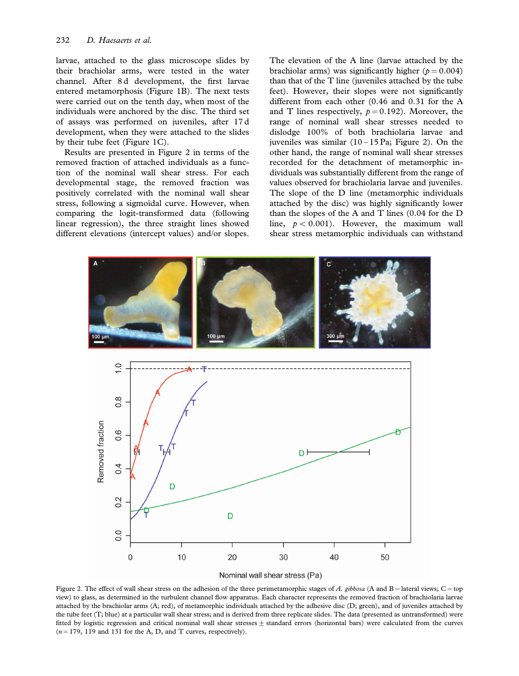larvae, attached to the glass microscope slides by their brachiolar arms, were tested in the water channel. After 8 d development, the first larvae entered metamorphosis (Figure 1B). The next tests were carried out on the tenth day, when most of the individuals were anchored by the disc. The third set of assays was performed on juveniles, after 17 d development, when they were attached to the slides by their tube feet (Figure 1C).

Results are presented in Figure 2 in terms of the removed fraction of attached individuals as a function of the nominal wall shear stress. For each developmental stage, the removed fraction was positively correlated with the nominal wall shear stress, following a sigmoïdal curve. However, when comparing the logit-transformed data (following linear regression), the three straight lines showed different elevations (intercept values) and/or slopes.

The elevation of the A line (larvae attached by the brachiolar arms) was significantly higher ( $p = 0.004$ ) than that of the  $T$  line (juveniles attached by the tube feet). However, their slopes were not significantly different from each other (0.46 and 0.31 for the A and T lines respectively,  $p = 0.192$ ). Moreover, the range of nominal wall shear stresses needed to dislodge 100% of both brachiolaria larvae and juveniles was similar  $(10 - 15 \text{ Pa}; \text{ Figure 2}).$  On the other hand, the range of nominal wall shear stresses recorded for the detachment of metamorphic individuals was substantially different from the range of values observed for brachiolaria larvae and juveniles. The slope of the D line (metamorphic individuals attached by the disc) was highly significantly lower than the slopes of the A and T lines (0.04 for the D line,  $p < 0.001$ ). However, the maximum wall shear stress metamorphic individuals can withstand





Figure 2. The effect of wall shear stress on the adhesion of the three perimetamorphic stages of A. gibbosa (A and B = lateral views; C = top view) to glass, as determined in the turbulent channel flow apparatus. Each character represents the removed fraction of brachiolaria larvae attached by the brachiolar arms (A; red), of metamorphic individuals attached by the adhesive disc (D; green), and of juveniles attached by the tube feet (T; blue) at a particular wall shear stress; and is derived from three replicate slides. The data (presented as untransformed) were fitted by logistic regression and critical nominal wall shear stresses  $\pm$  standard errors (horizontal bars) were calculated from the curves  $(n = 179, 119, 131)$  for the A, D, and T curves, respectively).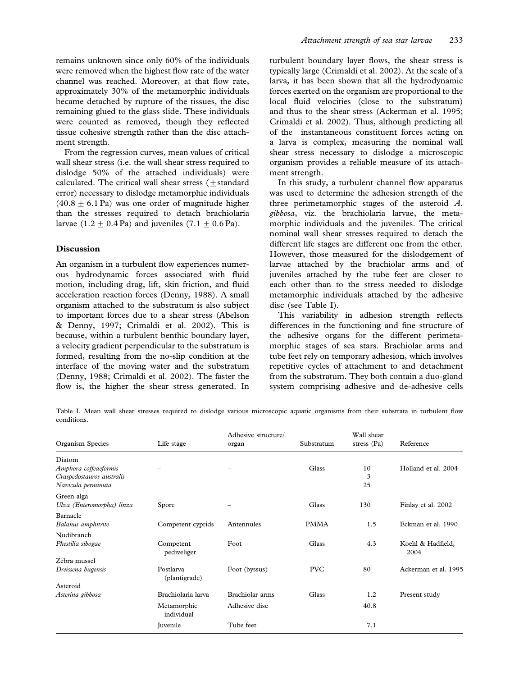remains unknown since only 60% of the individuals were removed when the highest flow rate of the water channel was reached. Moreover, at that flow rate, approximately 30% of the metamorphic individuals became detached by rupture of the tissues, the disc remaining glued to the glass slide. These individuals were counted as removed, though they reflected tissue cohesive strength rather than the disc attachment strength.

From the regression curves, mean values of critical wall shear stress (i.e. the wall shear stress required to dislodge 50% of the attached individuals) were calculated. The critical wall shear stress (+standard error) necessary to dislodge metamorphic individuals  $(40.8 + 6.1 \text{ Pa})$  was one order of magnitude higher than the stresses required to detach brachiolaria larvae  $(1.2 \pm 0.4 \text{ Pa})$  and juveniles  $(7.1 \pm 0.6 \text{ Pa})$ .

#### Discussion

An organism in a turbulent flow experiences numerous hydrodynamic forces associated with fluid motion, including drag, lift, skin friction, and fluid acceleration reaction forces (Denny, 1988). A small organism attached to the substratum is also subject to important forces due to a shear stress (Abelson & Denny, 1997; Crimaldi et al. 2002). This is because, within a turbulent benthic boundary layer, a velocity gradient perpendicular to the substratum is formed, resulting from the no-slip condition at the interface of the moving water and the substratum (Denny, 1988; Crimaldi et al. 2002). The faster the flow is, the higher the shear stress generated. In

turbulent boundary layer flows, the shear stress is typically large (Crimaldi et al. 2002). At the scale of a larva, it has been shown that all the hydrodynamic forces exerted on the organism are proportional to the local fluid velocities (close to the substratum) and thus to the shear stress (Ackerman et al. 1995; Crimaldi et al. 2002). Thus, although predicting all of the instantaneous constituent forces acting on a larva is complex, measuring the nominal wall shear stress necessary to dislodge a microscopic organism provides a reliable measure of its attachment strength.

In this study, a turbulent channel flow apparatus was used to determine the adhesion strength of the three perimetamorphic stages of the asteroid  $A$ . gibbosa, viz. the brachiolaria larvae, the metamorphic individuals and the juveniles. The critical nominal wall shear stresses required to detach the different life stages are different one from the other. However, those measured for the dislodgement of larvae attached by the brachiolar arms and of juveniles attached by the tube feet are closer to each other than to the stress needed to dislodge metamorphic individuals attached by the adhesive disc (see Table I).

This variability in adhesion strength reflects differences in the functioning and fine structure of the adhesive organs for the different perimetamorphic stages of sea stars. Brachiolar arms and tube feet rely on temporary adhesion, which involves repetitive cycles of attachment to and detachment from the substratum. They both contain a duo-gland system comprising adhesive and de-adhesive cells

Table I. Mean wall shear stresses required to dislodge various microscopic aquatic organisms from their substrata in turbulent flow conditions.

| Organism Species                                                                   | Life stage                 | Adhesive structure/<br>organ | Substratum  | Wall shear<br>stress $(Pa)$ | Reference                 |
|------------------------------------------------------------------------------------|----------------------------|------------------------------|-------------|-----------------------------|---------------------------|
| Diatom<br>Amphora coffeaeformis<br>Craspedostauros australis<br>Navicula perminuta |                            |                              | Glass       | 10<br>3<br>25               | Holland et al. 2004       |
| Green alga<br>Ulva (Enteromorpha) linza                                            | Spore                      |                              | Glass       | 130                         | Finlay et al. 2002        |
| Barnacle<br>Balanus amphitrite                                                     | Competent cyprids          | Antennules                   | <b>PMMA</b> | 1.5                         | Eckman et al. 1990        |
| Nudibranch<br>Phestilla sibogae                                                    | Competent<br>pediveliger   | Foot                         | Glass       | 4.3                         | Koehl & Hadfield,<br>2004 |
| Zebra mussel<br>Dreissena bugensis                                                 | Postlarva<br>(plantigrade) | Foot (byssus)                | <b>PVC</b>  | 80                          | Ackerman et al. 1995      |
| Asteroid                                                                           |                            |                              |             |                             |                           |
| Asterina gibbosa                                                                   | Brachiolaria larva         | Brachiolar arms              | Glass       | 1.2                         | Present study             |
|                                                                                    | Metamorphic<br>individual  | Adhesive disc                |             | 40.8                        |                           |
|                                                                                    | <b>Iuvenile</b>            | Tube feet                    |             | 7.1                         |                           |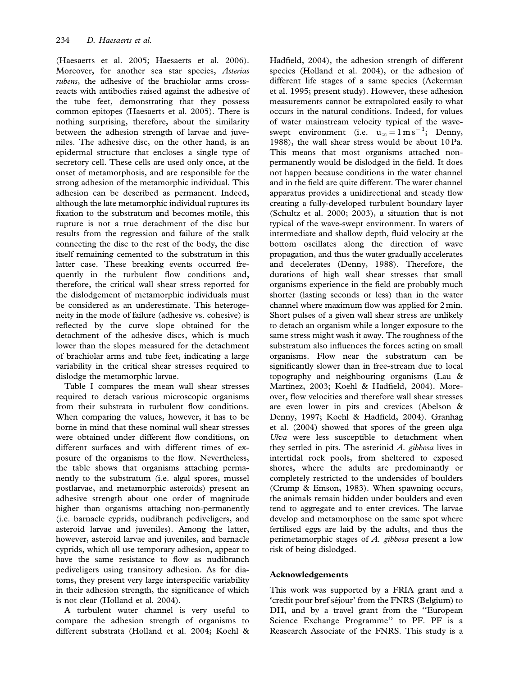(Haesaerts et al. 2005; Haesaerts et al. 2006). Moreover, for another sea star species, Asterias rubens, the adhesive of the brachiolar arms crossreacts with antibodies raised against the adhesive of the tube feet, demonstrating that they possess common epitopes (Haesaerts et al. 2005). There is nothing surprising, therefore, about the similarity between the adhesion strength of larvae and juveniles. The adhesive disc, on the other hand, is an epidermal structure that encloses a single type of secretory cell. These cells are used only once, at the onset of metamorphosis, and are responsible for the strong adhesion of the metamorphic individual. This adhesion can be described as permanent. Indeed, although the late metamorphic individual ruptures its fixation to the substratum and becomes motile, this rupture is not a true detachment of the disc but results from the regression and failure of the stalk connecting the disc to the rest of the body, the disc itself remaining cemented to the substratum in this latter case. These breaking events occurred frequently in the turbulent flow conditions and, therefore, the critical wall shear stress reported for the dislodgement of metamorphic individuals must be considered as an underestimate. This heterogeneity in the mode of failure (adhesive vs. cohesive) is reflected by the curve slope obtained for the detachment of the adhesive discs, which is much lower than the slopes measured for the detachment of brachiolar arms and tube feet, indicating a large variability in the critical shear stresses required to dislodge the metamorphic larvae.

Table I compares the mean wall shear stresses required to detach various microscopic organisms from their substrata in turbulent flow conditions. When comparing the values, however, it has to be borne in mind that these nominal wall shear stresses were obtained under different flow conditions, on different surfaces and with different times of exposure of the organisms to the flow. Nevertheless, the table shows that organisms attaching permanently to the substratum (i.e. algal spores, mussel postlarvae, and metamorphic asteroids) present an adhesive strength about one order of magnitude higher than organisms attaching non-permanently (i.e. barnacle cyprids, nudibranch pediveligers, and asteroid larvae and juveniles). Among the latter, however, asteroid larvae and juveniles, and barnacle cyprids, which all use temporary adhesion, appear to have the same resistance to flow as nudibranch pediveligers using transitory adhesion. As for diatoms, they present very large interspecific variability in their adhesion strength, the significance of which is not clear (Holland et al. 2004).

A turbulent water channel is very useful to compare the adhesion strength of organisms to different substrata (Holland et al. 2004; Koehl & Hadfield, 2004), the adhesion strength of different species (Holland et al. 2004), or the adhesion of different life stages of a same species (Ackerman et al. 1995; present study). However, these adhesion measurements cannot be extrapolated easily to what occurs in the natural conditions. Indeed, for values of water mainstream velocity typical of the waveswept environment (i.e.  $u_{\infty} = 1 \text{ m s}^{-1}$ ; Denny, 1988), the wall shear stress would be about 10 Pa. This means that most organisms attached nonpermanently would be dislodged in the field. It does not happen because conditions in the water channel and in the field are quite different. The water channel apparatus provides a unidirectional and steady flow creating a fully-developed turbulent boundary layer (Schultz et al. 2000; 2003), a situation that is not typical of the wave-swept environment. In waters of intermediate and shallow depth, fluid velocity at the bottom oscillates along the direction of wave propagation, and thus the water gradually accelerates and decelerates (Denny, 1988). Therefore, the durations of high wall shear stresses that small organisms experience in the field are probably much shorter (lasting seconds or less) than in the water channel where maximum flow was applied for 2 min. Short pulses of a given wall shear stress are unlikely to detach an organism while a longer exposure to the same stress might wash it away. The roughness of the substratum also influences the forces acting on small organisms. Flow near the substratum can be significantly slower than in free-stream due to local topography and neighbouring organisms (Lau & Martinez, 2003; Koehl & Hadfield, 2004). Moreover, flow velocities and therefore wall shear stresses are even lower in pits and crevices (Abelson & Denny, 1997; Koehl & Hadfield, 2004). Granhag et al. (2004) showed that spores of the green alga Ulva were less susceptible to detachment when they settled in pits. The asterinid  $A$ , gibbosa lives in intertidal rock pools, from sheltered to exposed shores, where the adults are predominantly or completely restricted to the undersides of boulders (Crump & Emson, 1983). When spawning occurs, the animals remain hidden under boulders and even tend to aggregate and to enter crevices. The larvae develop and metamorphose on the same spot where fertilised eggs are laid by the adults, and thus the perimetamorphic stages of  $A$ . gibbosa present a low risk of being dislodged.

## Acknowledgements

This work was supported by a FRIA grant and a 'credit pour bref séjour' from the FNRS (Belgium) to DH, and by a travel grant from the ''European Science Exchange Programme'' to PF. PF is a Reasearch Associate of the FNRS. This study is a